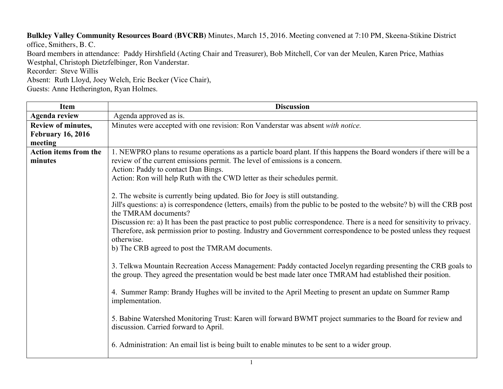**Bulkley Valley Community Resources Board (BVCRB)** Minutes, March 15, 2016. Meeting convened at 7:10 PM, Skeena-Stikine District office, Smithers, B. C.

Board members in attendance: Paddy Hirshfield (Acting Chair and Treasurer), Bob Mitchell, Cor van der Meulen, Karen Price, Mathias Westphal, Christoph Dietzfelbinger, Ron Vanderstar.

Recorder: Steve Willis

Absent: Ruth Lloyd, Joey Welch, Eric Becker (Vice Chair), Guests: Anne Hetherington, Ryan Holmes.

| <b>Item</b>                  | <b>Discussion</b>                                                                                                                                                                                                                                 |
|------------------------------|---------------------------------------------------------------------------------------------------------------------------------------------------------------------------------------------------------------------------------------------------|
| <b>Agenda review</b>         | Agenda approved as is.                                                                                                                                                                                                                            |
| <b>Review of minutes,</b>    | Minutes were accepted with one revision: Ron Vanderstar was absent with notice.                                                                                                                                                                   |
| <b>February 16, 2016</b>     |                                                                                                                                                                                                                                                   |
| meeting                      |                                                                                                                                                                                                                                                   |
| <b>Action items from the</b> | 1. NEWPRO plans to resume operations as a particle board plant. If this happens the Board wonders if there will be a                                                                                                                              |
| minutes                      | review of the current emissions permit. The level of emissions is a concern.                                                                                                                                                                      |
|                              | Action: Paddy to contact Dan Bings.                                                                                                                                                                                                               |
|                              | Action: Ron will help Ruth with the CWD letter as their schedules permit.                                                                                                                                                                         |
|                              |                                                                                                                                                                                                                                                   |
|                              | 2. The website is currently being updated. Bio for Joey is still outstanding.                                                                                                                                                                     |
|                              | Jill's questions: a) is correspondence (letters, emails) from the public to be posted to the website? b) will the CRB post<br>the TMRAM documents?                                                                                                |
|                              |                                                                                                                                                                                                                                                   |
|                              | Discussion re: a) It has been the past practice to post public correspondence. There is a need for sensitivity to privacy.<br>Therefore, ask permission prior to posting. Industry and Government correspondence to be posted unless they request |
|                              | otherwise.                                                                                                                                                                                                                                        |
|                              | b) The CRB agreed to post the TMRAM documents.                                                                                                                                                                                                    |
|                              |                                                                                                                                                                                                                                                   |
|                              | 3. Telkwa Mountain Recreation Access Management: Paddy contacted Jocelyn regarding presenting the CRB goals to                                                                                                                                    |
|                              | the group. They agreed the presentation would be best made later once TMRAM had established their position.                                                                                                                                       |
|                              |                                                                                                                                                                                                                                                   |
|                              | 4. Summer Ramp: Brandy Hughes will be invited to the April Meeting to present an update on Summer Ramp<br>implementation.                                                                                                                         |
|                              | 5. Babine Watershed Monitoring Trust: Karen will forward BWMT project summaries to the Board for review and<br>discussion. Carried forward to April.                                                                                              |
|                              | 6. Administration: An email list is being built to enable minutes to be sent to a wider group.                                                                                                                                                    |